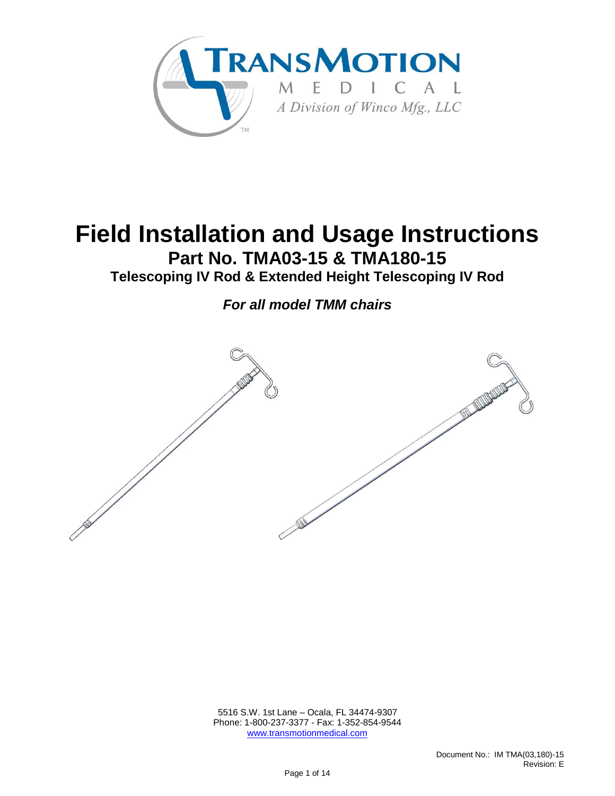

# **Field Installation and Usage Instructions Part No. TMA03-15 & TMA180-15**

**Telescoping IV Rod & Extended Height Telescoping IV Rod**

*For all model TMM chairs*



 5516 S.W. 1st Lane – Ocala, FL 34474-9307 Phone: 1-800-237-3377 - Fax: 1-352-854-9544 [www.transmotionmedical.com](http://www.transmotionmedical.com/)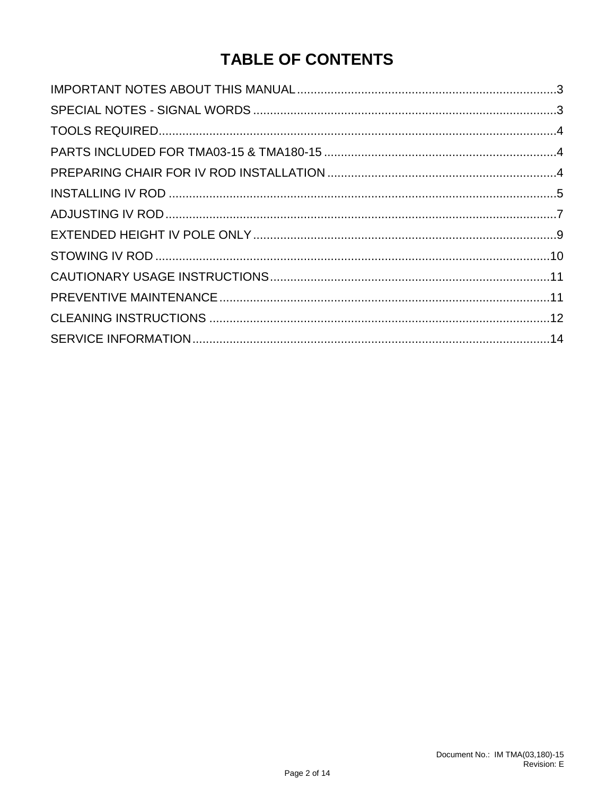### **TABLE OF CONTENTS**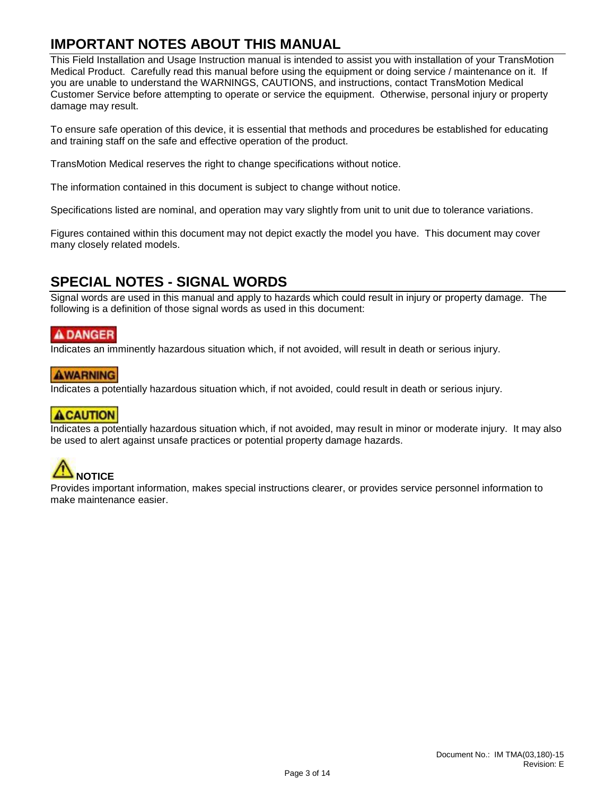#### <span id="page-2-0"></span>**IMPORTANT NOTES ABOUT THIS MANUAL**

This Field Installation and Usage Instruction manual is intended to assist you with installation of your TransMotion Medical Product. Carefully read this manual before using the equipment or doing service / maintenance on it. If you are unable to understand the WARNINGS, CAUTIONS, and instructions, contact TransMotion Medical Customer Service before attempting to operate or service the equipment. Otherwise, personal injury or property damage may result.

To ensure safe operation of this device, it is essential that methods and procedures be established for educating and training staff on the safe and effective operation of the product.

TransMotion Medical reserves the right to change specifications without notice.

The information contained in this document is subject to change without notice.

Specifications listed are nominal, and operation may vary slightly from unit to unit due to tolerance variations.

Figures contained within this document may not depict exactly the model you have. This document may cover many closely related models.

#### <span id="page-2-1"></span>**SPECIAL NOTES - SIGNAL WORDS**

Signal words are used in this manual and apply to hazards which could result in injury or property damage. The following is a definition of those signal words as used in this document:

#### **A DANGER**

Indicates an imminently hazardous situation which, if not avoided, will result in death or serious injury.

#### **AWARNING**

Indicates a potentially hazardous situation which, if not avoided, could result in death or serious injury.

#### **ACAUTION**

Indicates a potentially hazardous situation which, if not avoided, may result in minor or moderate injury. It may also be used to alert against unsafe practices or potential property damage hazards.

# **NOTICE**

Provides important information, makes special instructions clearer, or provides service personnel information to make maintenance easier.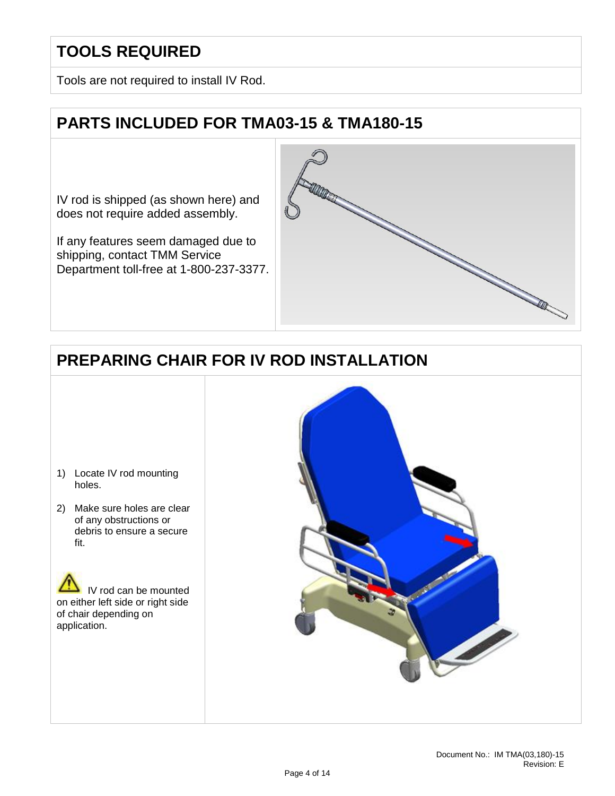### <span id="page-3-0"></span>**TOOLS REQUIRED**

Tools are not required to install IV Rod.

### <span id="page-3-1"></span>**PARTS INCLUDED FOR TMA03-15 & TMA180-15**

IV rod is shipped (as shown here) and does not require added assembly.

If any features seem damaged due to shipping, contact TMM Service Department toll-free at 1-800-237-3377.



### <span id="page-3-2"></span>**PREPARING CHAIR FOR IV ROD INSTALLATION**

- 1) Locate IV rod mounting holes.
- 2) Make sure holes are clear of any obstructions or debris to ensure a secure fit.



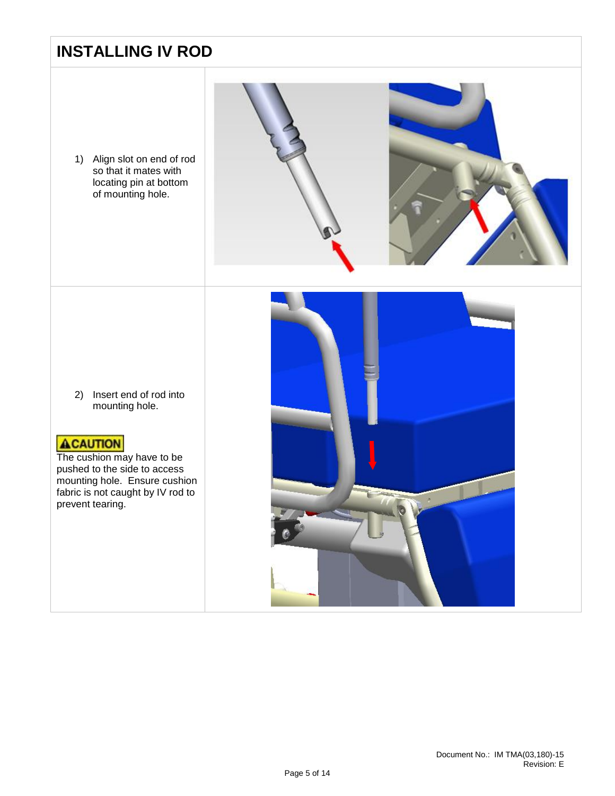### <span id="page-4-0"></span>**INSTALLING IV ROD**

1) Align slot on end of rod so that it mates with locating pin at bottom of mounting hole.



2) Insert end of rod into mounting hole.

#### **ACAUTION**

The cushion may have to be pushed to the side to access mounting hole. Ensure cushion fabric is not caught by IV rod to prevent tearing.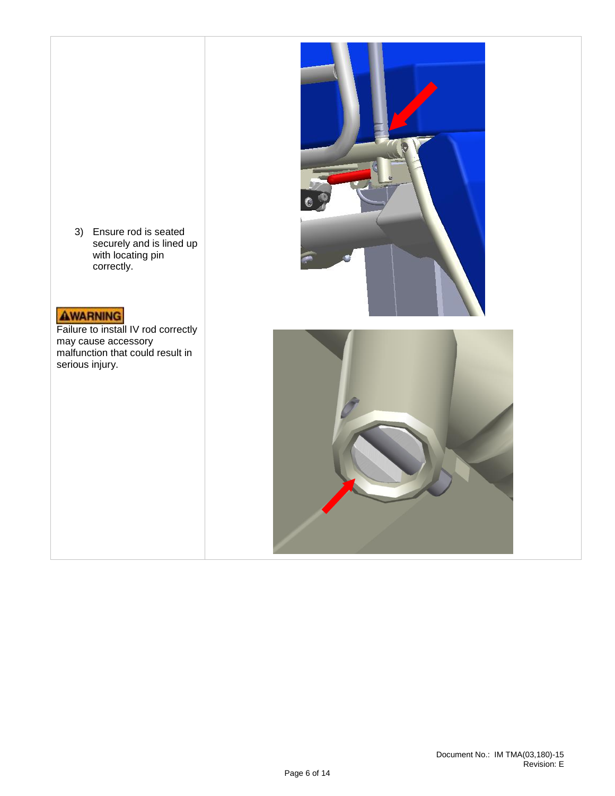3) Ensure rod is seated securely and is lined up with locating pin correctly.

### AWARNING

Failure to install IV rod correctly may cause accessory malfunction that could result in serious injury.



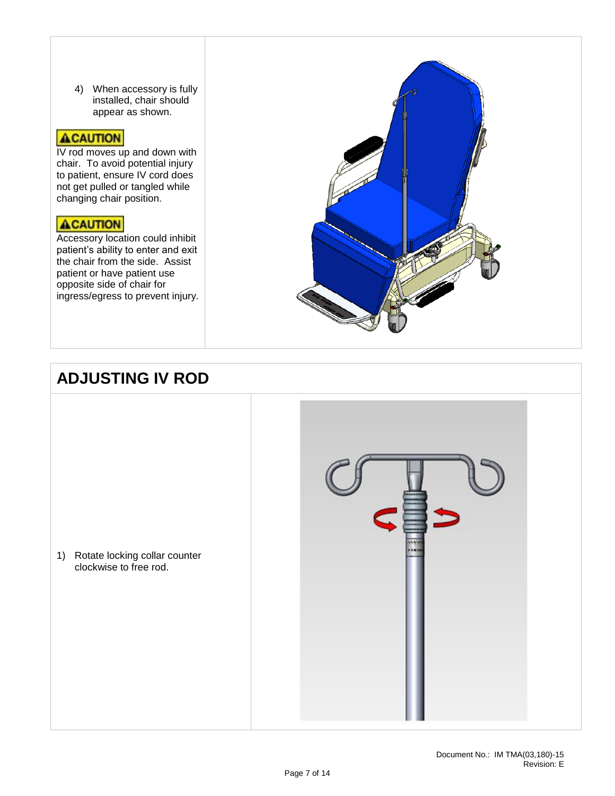4) When accessory is fully installed, chair should appear as shown.

#### **ACAUTION**

IV rod moves up and down with chair. To avoid potential injury to patient, ensure IV cord does not get pulled or tangled while changing chair position.

#### ACAUTION

Accessory location could inhibit patient's ability to enter and exit the chair from the side. Assist patient or have patient use opposite side of chair for ingress/egress to prevent injury.



### <span id="page-6-0"></span>**ADJUSTING IV ROD**

1) Rotate locking collar counter clockwise to free rod.

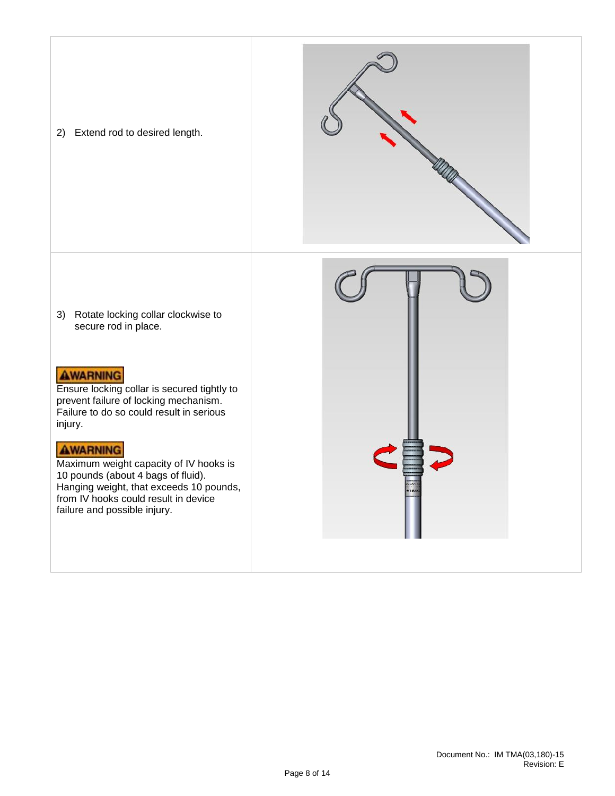2) Extend rod to desired length.





3) Rotate locking collar clockwise to secure rod in place.

#### **AWARNING**

Ensure locking collar is secured tightly to prevent failure of locking mechanism. Failure to do so could result in serious injury.

#### **AWARNING**

Maximum weight capacity of IV hooks is 10 pounds (about 4 bags of fluid). Hanging weight, that exceeds 10 pounds, from IV hooks could result in device failure and possible injury.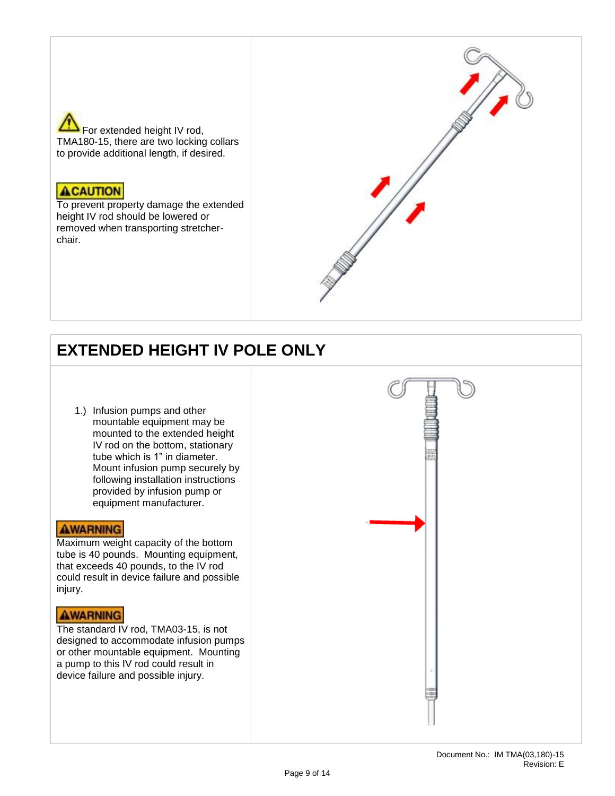

#### **ACAUTION**

To prevent property damage the extended height IV rod should be lowered or removed when transporting stretcherchair.



### <span id="page-8-0"></span>**EXTENDED HEIGHT IV POLE ONLY**

1.) Infusion pumps and other mountable equipment may be mounted to the extended height IV rod on the bottom, stationary tube which is 1" in diameter. Mount infusion pump securely by following installation instructions provided by infusion pump or equipment manufacturer.

#### **AWARNING**

Maximum weight capacity of the bottom tube is 40 pounds. Mounting equipment, that exceeds 40 pounds, to the IV rod could result in device failure and possible injury.

#### **AWARNING**

The standard IV rod, TMA03-15, is not designed to accommodate infusion pumps or other mountable equipment. Mounting a pump to this IV rod could result in device failure and possible injury.

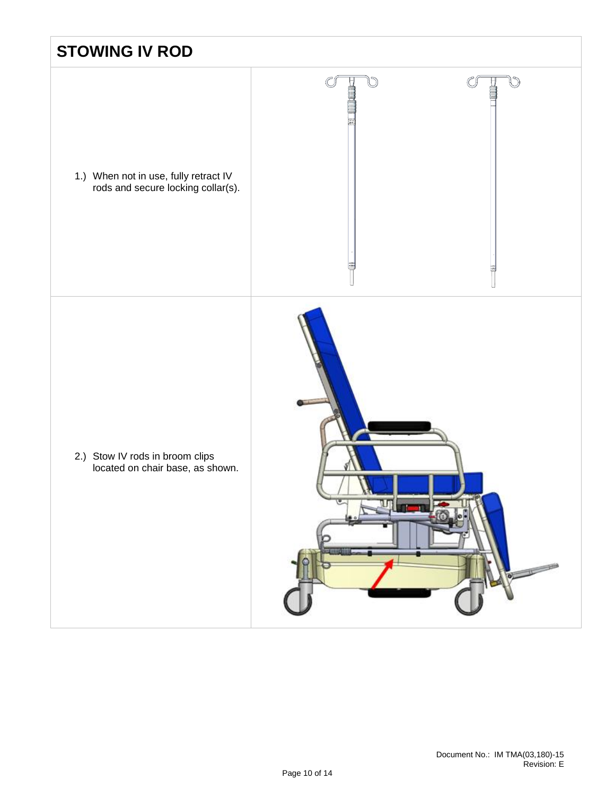<span id="page-9-0"></span>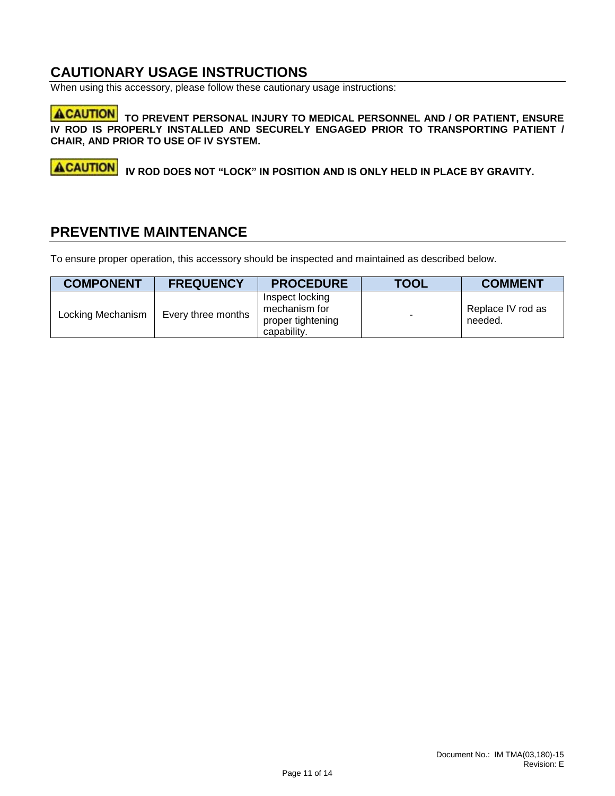#### <span id="page-10-0"></span>**CAUTIONARY USAGE INSTRUCTIONS**

When using this accessory, please follow these cautionary usage instructions:

**ACAUTION** TO PREVENT PERSONAL INJURY TO MEDICAL PERSONNEL AND / OR PATIENT, ENSURE **IV ROD IS PROPERLY INSTALLED AND SECURELY ENGAGED PRIOR TO TRANSPORTING PATIENT / CHAIR, AND PRIOR TO USE OF IV SYSTEM.**

**ACAUTION IV ROD DOES NOT "LOCK" IN POSITION AND IS ONLY HELD IN PLACE BY GRAVITY.**

#### <span id="page-10-1"></span>**PREVENTIVE MAINTENANCE**

To ensure proper operation, this accessory should be inspected and maintained as described below.

| <b>COMPONENT</b>  | <b>FREQUENCY</b>   | <b>PROCEDURE</b>                                                     | <b>TOOL</b> | <b>COMMENT</b>               |
|-------------------|--------------------|----------------------------------------------------------------------|-------------|------------------------------|
| Locking Mechanism | Every three months | Inspect locking<br>mechanism for<br>proper tightening<br>capability. | ٠           | Replace IV rod as<br>needed. |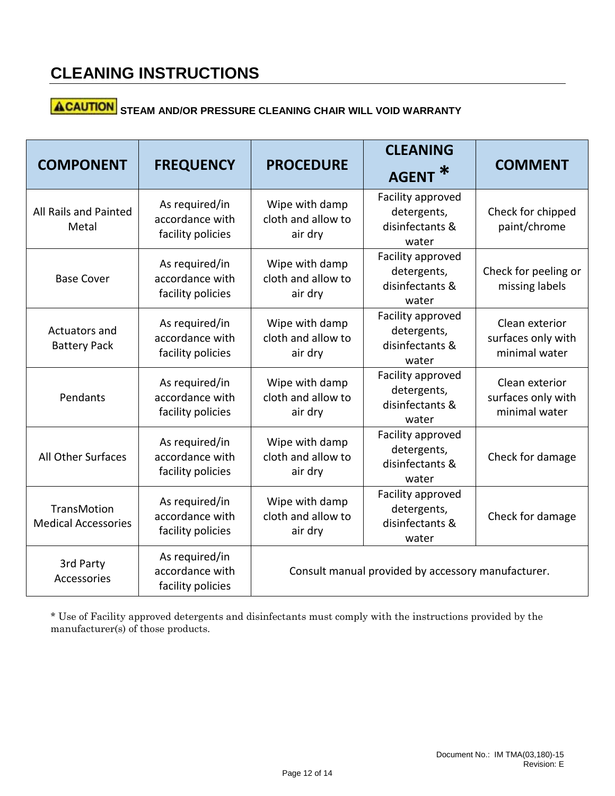# **ACAUTION** STEAM AND/OR PRESSURE CLEANING CHAIR WILL VOID WARRANTY

| <b>COMPONENT</b>                                 | <b>FREQUENCY</b>                                       | <b>PROCEDURE</b>                                   | <b>CLEANING</b><br><b>AGENT</b>                              | <b>COMMENT</b>                                        |
|--------------------------------------------------|--------------------------------------------------------|----------------------------------------------------|--------------------------------------------------------------|-------------------------------------------------------|
| All Rails and Painted<br>Metal                   | As required/in<br>accordance with<br>facility policies | Wipe with damp<br>cloth and allow to<br>air dry    | Facility approved<br>detergents,<br>disinfectants &<br>water | Check for chipped<br>paint/chrome                     |
| <b>Base Cover</b>                                | As required/in<br>accordance with<br>facility policies | Wipe with damp<br>cloth and allow to<br>air dry    | Facility approved<br>detergents,<br>disinfectants &<br>water | Check for peeling or<br>missing labels                |
| Actuators and<br><b>Battery Pack</b>             | As required/in<br>accordance with<br>facility policies | Wipe with damp<br>cloth and allow to<br>air dry    | Facility approved<br>detergents,<br>disinfectants &<br>water | Clean exterior<br>surfaces only with<br>minimal water |
| Pendants                                         | As required/in<br>accordance with<br>facility policies | Wipe with damp<br>cloth and allow to<br>air dry    | Facility approved<br>detergents,<br>disinfectants &<br>water | Clean exterior<br>surfaces only with<br>minimal water |
| All Other Surfaces                               | As required/in<br>accordance with<br>facility policies | Wipe with damp<br>cloth and allow to<br>air dry    | Facility approved<br>detergents,<br>disinfectants &<br>water | Check for damage                                      |
| <b>TransMotion</b><br><b>Medical Accessories</b> | As required/in<br>accordance with<br>facility policies | Wipe with damp<br>cloth and allow to<br>air dry    | Facility approved<br>detergents,<br>disinfectants &<br>water | Check for damage                                      |
| 3rd Party<br>Accessories                         | As required/in<br>accordance with<br>facility policies | Consult manual provided by accessory manufacturer. |                                                              |                                                       |

\* Use of Facility approved detergents and disinfectants must comply with the instructions provided by the manufacturer(s) of those products.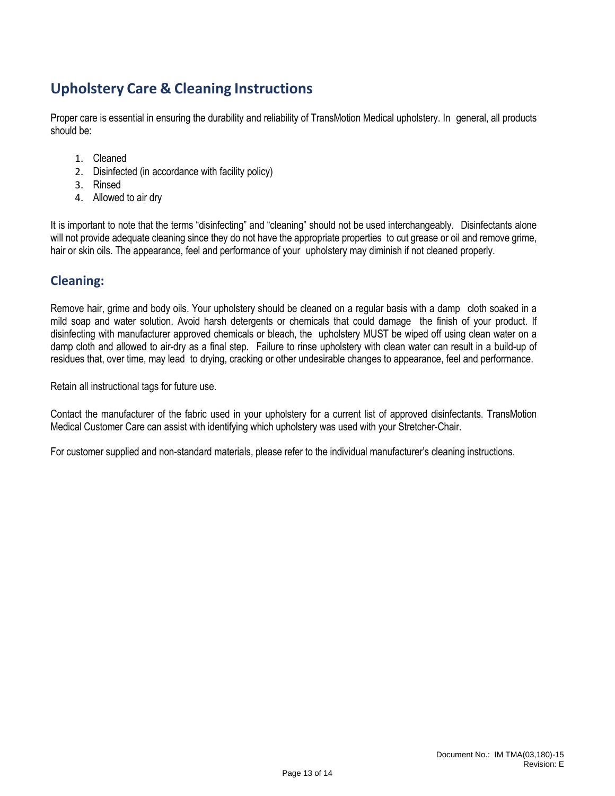### **Upholstery Care & Cleaning Instructions**

Proper care is essential in ensuring the durability and reliability of TransMotion Medical upholstery. In general, all products should be:

- 1. Cleaned
- 2. Disinfected (in accordance with facility policy)
- 3. Rinsed
- 4. Allowed to air dry

It is important to note that the terms "disinfecting" and "cleaning" should not be used interchangeably. Disinfectants alone will not provide adequate cleaning since they do not have the appropriate properties to cut grease or oil and remove grime, hair or skin oils. The appearance, feel and performance of your upholstery may diminish if not cleaned properly.

#### **Cleaning:**

Remove hair, grime and body oils. Your upholstery should be cleaned on a regular basis with a damp cloth soaked in a mild soap and water solution. Avoid harsh detergents or chemicals that could damage the finish of your product. If disinfecting with manufacturer approved chemicals or bleach, the upholstery MUST be wiped off using clean water on a damp cloth and allowed to air-dry as a final step. Failure to rinse upholstery with clean water can result in a build-up of residues that, over time, may lead to drying, cracking or other undesirable changes to appearance, feel and performance.

Retain all instructional tags for future use.

Contact the manufacturer of the fabric used in your upholstery for a current list of approved disinfectants. TransMotion Medical Customer Care can assist with identifying which upholstery was used with your Stretcher-Chair.

For customer supplied and non-standard materials, please refer to the individual manufacturer's cleaning instructions.